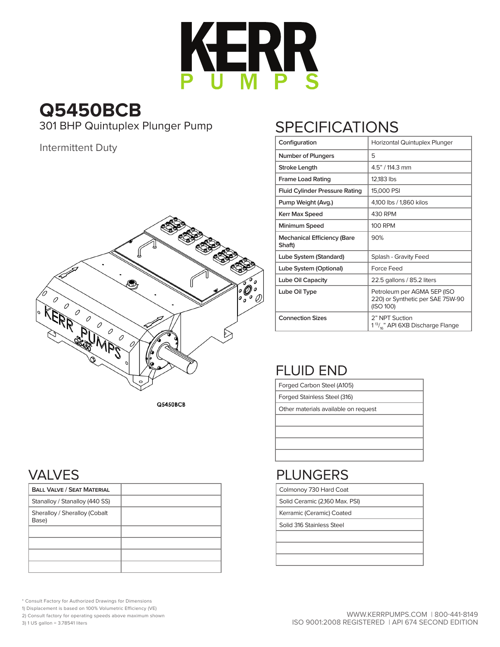

# **Q5450BCB**

301 BHP Quintuplex Plunger Pump

#### Intermittent Duty



#### Q5450BCB

## **SPECIFICATIONS**

| Configuration                                | Horizontal Quintuplex Plunger                                                |
|----------------------------------------------|------------------------------------------------------------------------------|
| <b>Number of Plungers</b>                    | 5                                                                            |
| Stroke Length                                | 4.5" / 114.3 mm                                                              |
| <b>Frame Load Rating</b>                     | 12,183 lbs                                                                   |
| <b>Fluid Cylinder Pressure Rating</b>        | 15,000 PSI                                                                   |
| Pump Weight (Avg.)                           | 4,100 lbs / 1,860 kilos                                                      |
| <b>Kerr Max Speed</b>                        | 430 RPM                                                                      |
| Minimum Speed                                | <b>100 RPM</b>                                                               |
| <b>Mechanical Efficiency (Bare</b><br>Shaft) | 90%                                                                          |
| Lube System (Standard)                       | Splash - Gravity Feed                                                        |
| Lube System (Optional)                       | Force Feed                                                                   |
| Lube Oil Capacity                            | 22.5 gallons / 85.2 liters                                                   |
| Lube Oil Type                                | Petroleum per AGMA 5EP (ISO<br>220) or Synthetic per SAE 75W-90<br>(ISO 100) |
| <b>Connection Sizes</b>                      | 2" NPT Suction<br>1 <sup>13</sup> / <sub>12</sub> " API 6XB Discharge Flange |

## FLUID END

Forged Carbon Steel (A105)

Forged Stainless Steel (316)

Other materials available on request

## PLUNGERS

Colmonoy 730 Hard Coat

Solid Ceramic (2,160 Max. PSI)

Kerramic (Ceramic) Coated

Solid 316 Stainless Steel

## VALVES

| <b>BALL VALVE / SEAT MATERIAL</b>      |  |  |  |  |  |  |  |
|----------------------------------------|--|--|--|--|--|--|--|
| Stanalloy / Stanalloy (440 SS)         |  |  |  |  |  |  |  |
| Sheralloy / Sheralloy (Cobalt<br>Base) |  |  |  |  |  |  |  |
|                                        |  |  |  |  |  |  |  |
|                                        |  |  |  |  |  |  |  |
|                                        |  |  |  |  |  |  |  |
|                                        |  |  |  |  |  |  |  |

\* Consult Factory for Authorized Drawings for Dimensions

1) Displacement is based on 100% Volumetric Efficiency (VE)

2) Consult factory for operating speeds above maximum shown

3) 1 US gallon = 3.78541 liters